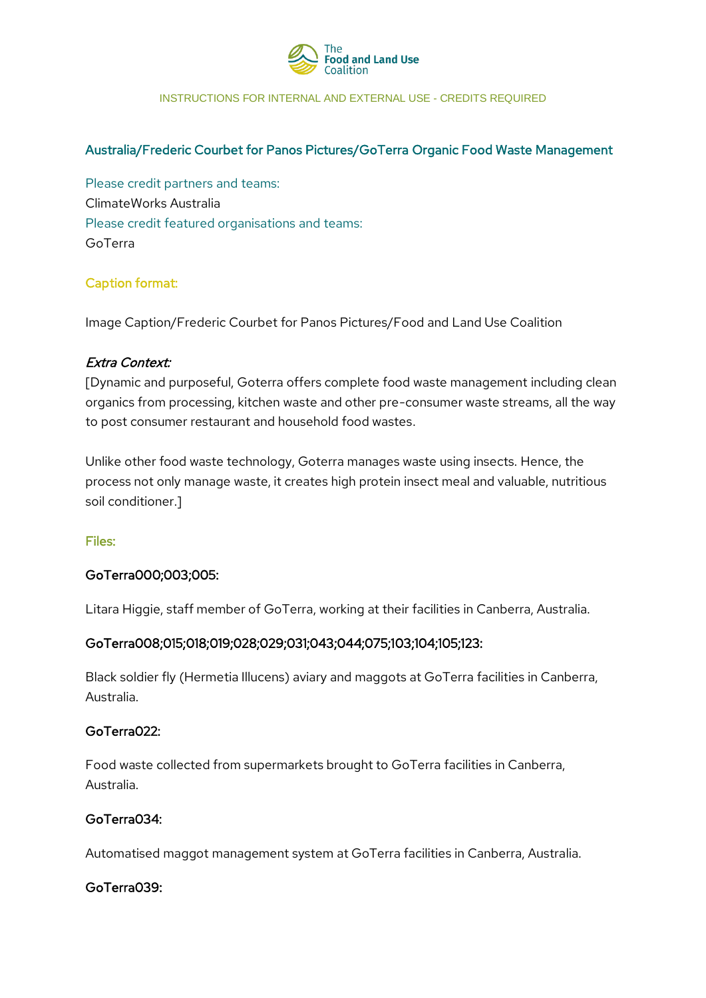

#### INSTRUCTIONS FOR INTERNAL AND EXTERNAL USE - CREDITS REQUIRED

## Australia/Frederic Courbet for Panos Pictures/GoTerra Organic Food Waste Management

Please credit partners and teams: ClimateWorks Australia Please credit featured organisations and teams: GoTerra

# Caption format:

Image Caption/Frederic Courbet for Panos Pictures/Food and Land Use Coalition

#### Extra Context:

[Dynamic and purposeful, Goterra offers complete food waste management including clean organics from processing, kitchen waste and other pre-consumer waste streams, all the way to post consumer restaurant and household food wastes.

Unlike other food waste technology, Goterra manages waste using insects. Hence, the process not only manage waste, it creates high protein insect meal and valuable, nutritious soil conditioner.]

### Files:

### GoTerra000;003;005:

Litara Higgie, staff member of GoTerra, working at their facilities in Canberra, Australia.

### GoTerra008;015;018;019;028;029;031;043;044;075;103;104;105;123:

Black soldier fly (Hermetia Illucens) aviary and maggots at GoTerra facilities in Canberra, Australia.

#### GoTerra022:

Food waste collected from supermarkets brought to GoTerra facilities in Canberra, Australia.

### GoTerra034:

Automatised maggot management system at GoTerra facilities in Canberra, Australia.

### GoTerra039: